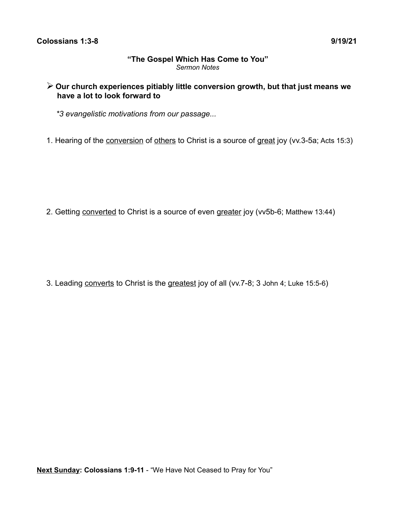### **"The Gospel Which Has Come to You"** *Sermon Notes*

# ➢ **Our church experiences pitiably little conversion growth, but that just means we have a lot to look forward to**

*\*3 evangelistic motivations from our passage...*

1. Hearing of the conversion of others to Christ is a source of great joy (vv.3-5a; Acts 15:3)

2. Getting converted to Christ is a source of even greater joy (vv5b-6; Matthew 13:44)

3. Leading converts to Christ is the greatest joy of all (vv.7-8; 3 John 4; Luke 15:5-6)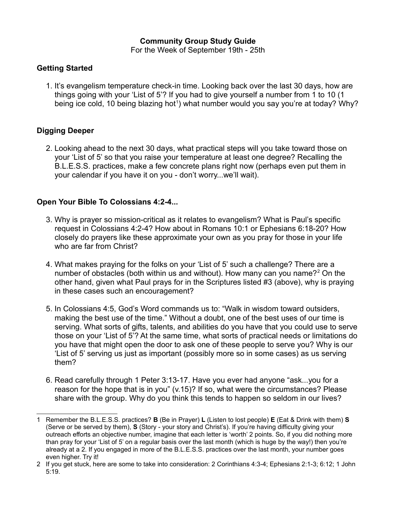#### **Community Group Study Guide**

For the Week of September 19th - 25th

#### **Getting Started**

1. It's evangelism temperature check-in time. Looking back over the last 30 days, how are things going with your 'List of 5'? If you had to give yourself a number from 1 to 10 (1 being ice cold, [1](#page-1-0)0 being blazing hot<sup>1</sup>) what number would you say you're at today? Why?

# **Digging Deeper**

2. Looking ahead to the next 30 days, what practical steps will you take toward those on your 'List of 5' so that you raise your temperature at least one degree? Recalling the B.L.E.S.S. practices, make a few concrete plans right now (perhaps even put them in your calendar if you have it on you - don't worry...we'll wait).

### **Open Your Bible To Colossians 4:2-4...**

- 3. Why is prayer so mission-critical as it relates to evangelism? What is Paul's specific request in Colossians 4:2-4? How about in Romans 10:1 or Ephesians 6:18-20? How closely do prayers like these approximate your own as you pray for those in your life who are far from Christ?
- 4. What makes praying for the folks on your 'List of 5' such a challenge? There are a number of obstacles (both within us and without). How many can you name?<sup>[2](#page-1-1)</sup> On the other hand, given what Paul prays for in the Scriptures listed #3 (above), why is praying in these cases such an encouragement?
- 5. In Colossians 4:5, God's Word commands us to: "Walk in wisdom toward outsiders, making the best use of the time." Without a doubt, one of the best uses of our time is serving. What sorts of gifts, talents, and abilities do you have that you could use to serve those on your 'List of 5'? At the same time, what sorts of practical needs or limitations do you have that might open the door to ask one of these people to serve you? Why is our 'List of 5' serving us just as important (possibly more so in some cases) as us serving them?
- 6. Read carefully through 1 Peter 3:13-17. Have you ever had anyone "ask...you for a reason for the hope that is in you" (v.15)? If so, what were the circumstances? Please share with the group. Why do you think this tends to happen so seldom in our lives?

<span id="page-1-0"></span><sup>1</sup> Remember the B.L.E.S.S. practices? **B** (Be in Prayer) **L** (Listen to lost people) **E** (Eat & Drink with them) **S** (Serve or be served by them), **S** (Story - your story and Christ's). If you're having difficulty giving your outreach efforts an objective number, imagine that each letter is 'worth' 2 points. So, if you did nothing more than pray for your 'List of 5' on a regular basis over the last month (which is huge by the way!) then you're already at a 2. If you engaged in more of the B.L.E.S.S. practices over the last month, your number goes even higher. Try it!

<span id="page-1-1"></span><sup>2</sup> If you get stuck, here are some to take into consideration: 2 Corinthians 4:3-4; Ephesians 2:1-3; 6:12; 1 John 5:19.